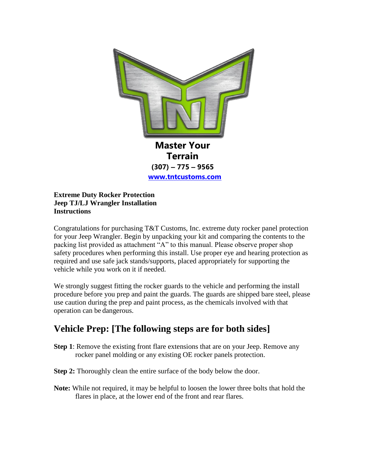

**[www.tntcustoms.com](http://www.tntcustoms.com/)**

## **Extreme Duty Rocker Protection Jeep TJ/LJ Wrangler Installation Instructions**

Congratulations for purchasing T&T Customs, Inc. extreme duty rocker panel protection for your Jeep Wrangler. Begin by unpacking your kit and comparing the contents to the packing list provided as attachment "A" to this manual. Please observe proper shop safety procedures when performing this install. Use proper eye and hearing protection as required and use safe jack stands/supports, placed appropriately for supporting the vehicle while you work on it if needed.

We strongly suggest fitting the rocker guards to the vehicle and performing the install procedure before you prep and paint the guards. The guards are shipped bare steel, please use caution during the prep and paint process, as the chemicals involved with that operation can be dangerous.

## **Vehicle Prep: [The following steps are for both sides]**

- **Step 1**: Remove the existing front flare extensions that are on your Jeep. Remove any rocker panel molding or any existing OE rocker panels protection.
- **Step 2:** Thoroughly clean the entire surface of the body below the door.
- **Note:** While not required, it may be helpful to loosen the lower three bolts that hold the flares in place, at the lower end of the front and rear flares.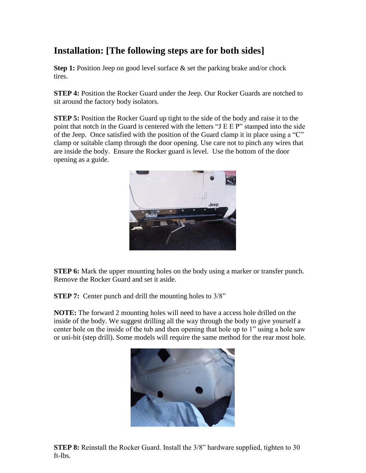## **Installation: [The following steps are for both sides]**

**Step 1:** Position Jeep on good level surface & set the parking brake and/or chock tires.

**STEP 4:** Position the Rocker Guard under the Jeep. Our Rocker Guards are notched to sit around the factory body isolators.

**STEP 5:** Position the Rocker Guard up tight to the side of the body and raise it to the point that notch in the Guard is centered with the letters "J E E P" stamped into the side of the Jeep. Once satisfied with the position of the Guard clamp it in place using a "C" clamp or suitable clamp through the door opening. Use care not to pinch any wires that are inside the body. Ensure the Rocker guard is level. Use the bottom of the door opening as a guide.



**STEP 6:** Mark the upper mounting holes on the body using a marker or transfer punch. Remove the Rocker Guard and set it aside.

**STEP 7:** Center punch and drill the mounting holes to 3/8"

**NOTE:** The forward 2 mounting holes will need to have a access hole drilled on the inside of the body. We suggest drilling all the way through the body to give yourself a center hole on the inside of the tub and then opening that hole up to 1" using a hole saw or uni-bit (step drill). Some models will require the same method for the rear most hole.



**STEP 8:** Reinstall the Rocker Guard. Install the 3/8" hardware supplied, tighten to 30 ft-lbs.